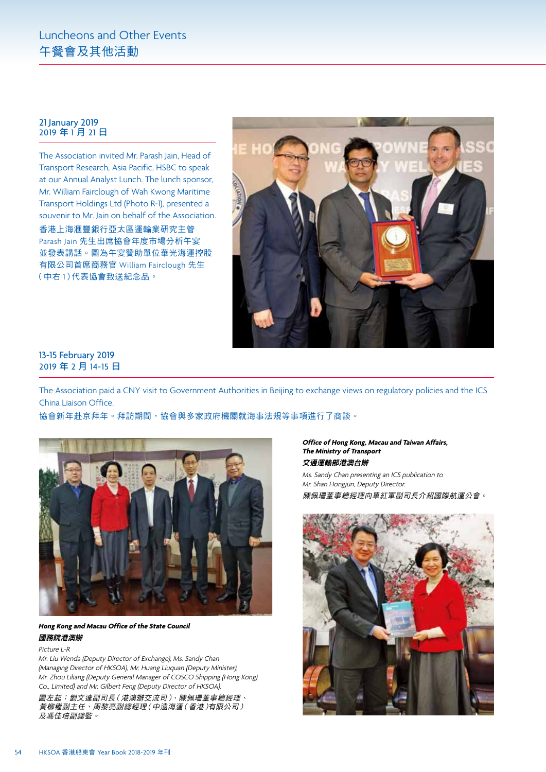# 21 January 2019 2019 年 1 月 21 日

The Association invited Mr. Parash Jain, Head of Transport Research, Asia Pacific, HSBC to speak at our Annual Analyst Lunch. The lunch sponsor, Mr. William Fairclough of Wah Kwong Maritime Transport Holdings Ltd (Photo R-1), presented a souvenir to Mr. Jain on behalf of the Association.

香港上海滙豐銀行亞太區運輸業研究主管 Parash Jain 先生出席協會年度市場分析午宴 並發表講話。圖為午宴贊助單位華光海運控股 有限公司首席商務官 William Fairclough 先生 (中右 1)代表協會致送紀念品。



# 13-15 February 2019 2019 年 2 月 14-15 日

The Association paid a CNY visit to Government Authorities in Beijing to exchange views on regulatory policies and the ICS China Liaison Office.

# 協會新年赴京拜年。拜訪期間,協會與多家政府機關就海事法規等事項進行了商談。



**Hong Kong and Macau Office of the State Council** 國務院港澳辦

#### Picture L-R

Mr. Liu Wenda (Deputy Director of Exchange), Ms. Sandy Chan (Managing Director of HKSOA), Mr. Huang Liuquan (Deputy Minister), Mr. Zhou Liliang (Deputy General Manager of COSCO Shipping (Hong Kong) Co., Limited) and Mr. Gilbert Feng (Deputy Director of HKSOA).

圖左起:劉文達副司長(港澳辦交流司)、陳佩珊董事總經理、 黃柳權副主任、周黎亮副總經理(中遠海運(香港)有限公司) 及馮佳培副總監。

**Office of Hong Kong, Macau and Taiwan Affairs, The Ministry of Transport** 交通運輸部港澳台辦

Ms. Sandy Chan presenting an ICS publication to Mr. Shan Hongjun, Deputy Director. 陳佩珊董事總經理向單紅軍副司長介紹國際航運公會。

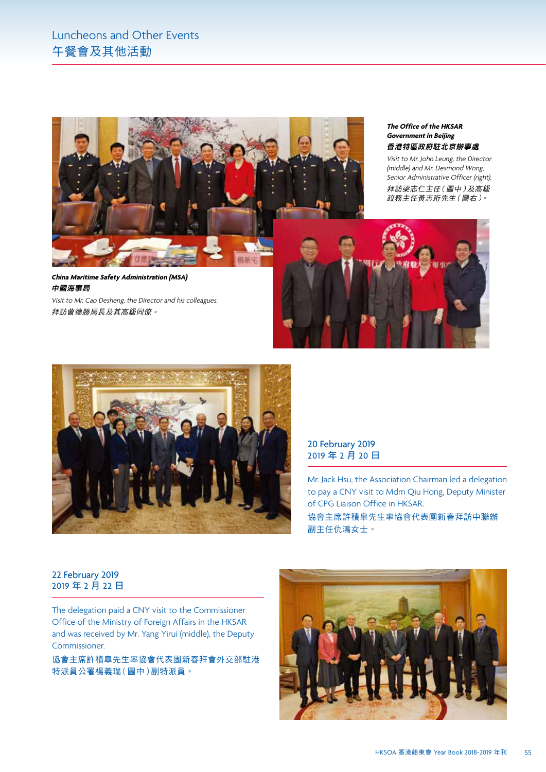

# **The Office of the HKSAR Government in Beijing** 香港特區政府駐北京辦事處

Visit to Mr. John Leung, the Director (middle) and Mr. Desmond Wong, Senior Administrative Officer (right). 拜訪梁志仁主任(圖中)及高級 政務主任黃志珩先生(圖右)。







### 20 February 2019 2019 年 2 月 20 日

Mr. Jack Hsu, the Association Chairman led a delegation to pay a CNY visit to Mdm Qiu Hong, Deputy Minister of CPG Liaison Office in HKSAR.

協會主席許積皐先生率協會代表團新春拜訪中聯辦 副主任仇鴻女士。

#### 22 February 2019 2019 年 2 月 22 日

The delegation paid a CNY visit to the Commissioner Office of the Ministry of Foreign Affairs in the HKSAR and was received by Mr. Yang Yirui (middle), the Deputy Commissioner.

協會主席許積皐先生率協會代表團新春拜會外交部駐港 特派員公署楊義瑞(圖中)副特派員。